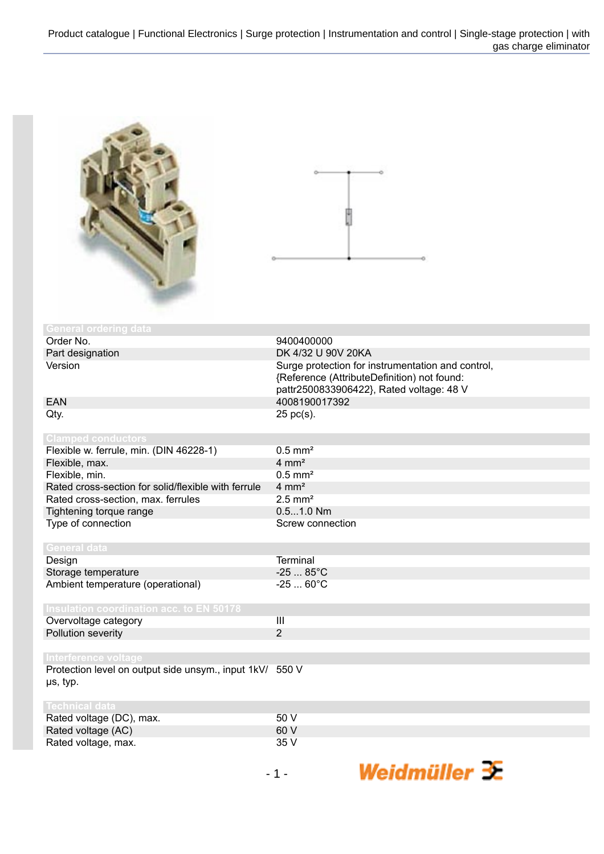

| <b>General ordering data</b>                             |                                                   |
|----------------------------------------------------------|---------------------------------------------------|
| Order No.                                                | 9400400000                                        |
| Part designation                                         | DK 4/32 U 90V 20KA                                |
| Version                                                  | Surge protection for instrumentation and control, |
|                                                          | {Reference (AttributeDefinition) not found:       |
|                                                          | pattr2500833906422}, Rated voltage: 48 V          |
| <b>EAN</b>                                               | 4008190017392                                     |
| Qty.                                                     | $25$ pc(s).                                       |
| <b>Clamped conductors</b>                                |                                                   |
| Flexible w. ferrule, min. (DIN 46228-1)                  | $0.5$ mm <sup>2</sup>                             |
| Flexible, max.                                           | $4 \text{ mm}^2$                                  |
| Flexible, min.                                           | $0.5$ mm <sup>2</sup>                             |
| Rated cross-section for solid/flexible with ferrule      | $4 \text{ mm}^2$                                  |
| Rated cross-section, max. ferrules                       | $2.5$ mm <sup>2</sup>                             |
| Tightening torque range                                  | $0.51.0$ Nm                                       |
| Type of connection                                       | Screw connection                                  |
|                                                          |                                                   |
| General data                                             |                                                   |
| Design                                                   | <b>Terminal</b>                                   |
| Storage temperature                                      | $-2585^{\circ}C$                                  |
| Ambient temperature (operational)                        | $-2560^{\circ}C$                                  |
|                                                          |                                                   |
| Insulation coordination acc. to EN_50178                 |                                                   |
| Overvoltage category                                     | III                                               |
| Pollution severity                                       | $\overline{2}$                                    |
|                                                          |                                                   |
| Interference voltage                                     |                                                   |
| Protection level on output side unsym., input 1kV/ 550 V |                                                   |
| µs, typ.                                                 |                                                   |
| <b>Technical data</b>                                    |                                                   |
| Rated voltage (DC), max.                                 | 50 V                                              |
|                                                          | $\sim$ $\sim$                                     |